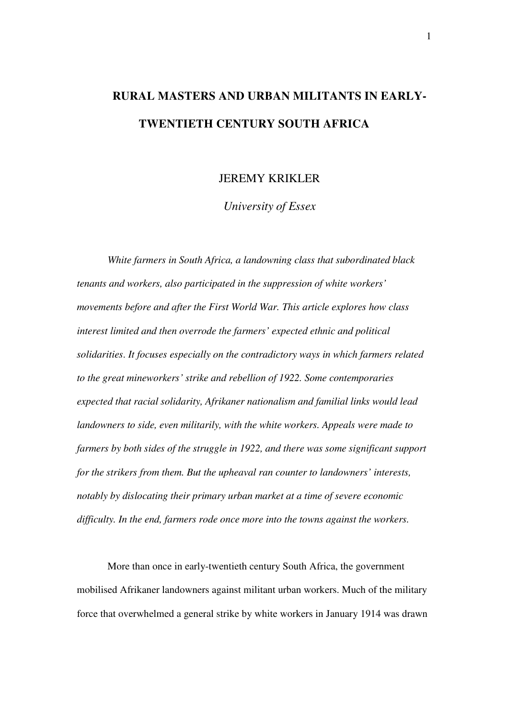## **RURAL MASTERS AND URBAN MILITANTS IN EARLY-TWENTIETH CENTURY SOUTH AFRICA**

JEREMY KRIKLER

*University of Essex* 

*White farmers in South Africa, a landowning class that subordinated black tenants and workers, also participated in the suppression of white workers' movements before and after the First World War. This article explores how class interest limited and then overrode the farmers' expected ethnic and political solidarities*. *It focuses especially on the contradictory ways in which farmers related to the great mineworkers' strike and rebellion of 1922. Some contemporaries expected that racial solidarity, Afrikaner nationalism and familial links would lead landowners to side, even militarily, with the white workers. Appeals were made to farmers by both sides of the struggle in 1922, and there was some significant support for the strikers from them. But the upheaval ran counter to landowners' interests, notably by dislocating their primary urban market at a time of severe economic difficulty. In the end, farmers rode once more into the towns against the workers.*

More than once in early-twentieth century South Africa, the government mobilised Afrikaner landowners against militant urban workers. Much of the military force that overwhelmed a general strike by white workers in January 1914 was drawn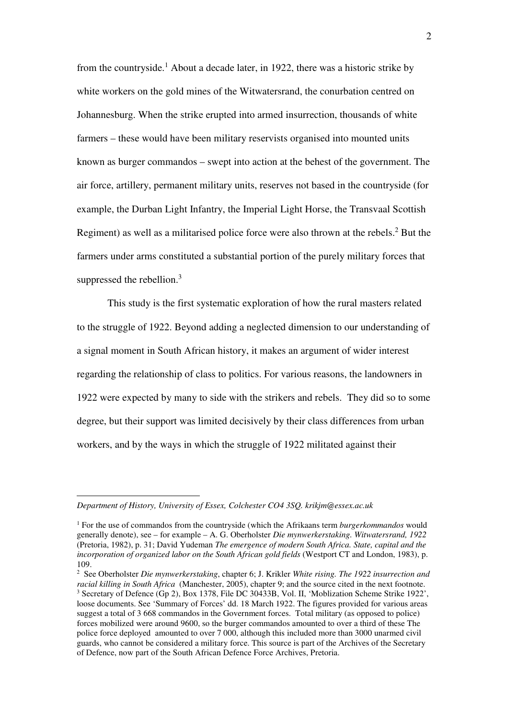from the countryside.<sup>1</sup> About a decade later, in 1922, there was a historic strike by white workers on the gold mines of the Witwatersrand, the conurbation centred on Johannesburg. When the strike erupted into armed insurrection, thousands of white farmers – these would have been military reservists organised into mounted units known as burger commandos – swept into action at the behest of the government. The air force, artillery, permanent military units, reserves not based in the countryside (for example, the Durban Light Infantry, the Imperial Light Horse, the Transvaal Scottish Regiment) as well as a militarised police force were also thrown at the rebels.<sup>2</sup> But the farmers under arms constituted a substantial portion of the purely military forces that suppressed the rebellion.<sup>3</sup>

This study is the first systematic exploration of how the rural masters related to the struggle of 1922. Beyond adding a neglected dimension to our understanding of a signal moment in South African history, it makes an argument of wider interest regarding the relationship of class to politics. For various reasons, the landowners in 1922 were expected by many to side with the strikers and rebels. They did so to some degree, but their support was limited decisively by their class differences from urban workers, and by the ways in which the struggle of 1922 militated against their

*Department of History, University of Essex, Colchester CO4 3SQ. krikjm@essex.ac.uk* 

<sup>&</sup>lt;sup>1</sup> For the use of commandos from the countryside (which the Afrikaans term *burgerkommandos* would generally denote), see – for example – A. G. Oberholster *Die mynwerkerstaking. Witwatersrand, 1922*  (Pretoria, 1982), p. 31; David Yudeman *The emergence of modern South Africa. State, capital and the incorporation of organized labor on the South African gold fields* (Westport CT and London, 1983), p. 109.

<sup>2</sup> See Oberholster *Die mynwerkerstaking*, chapter 6; J. Krikler *White rising. The 1922 insurrection and racial killing in South Africa* (Manchester, 2005), chapter 9; and the source cited in the next footnote. <sup>3</sup> Secretary of Defence (Gp 2), Box 1378, File DC 30433B, Vol. II, 'Moblization Scheme Strike 1922', loose documents. See 'Summary of Forces' dd. 18 March 1922. The figures provided for various areas suggest a total of 3 668 commandos in the Government forces. Total military (as opposed to police) forces mobilized were around 9600, so the burger commandos amounted to over a third of these The police force deployed amounted to over 7 000, although this included more than 3000 unarmed civil guards, who cannot be considered a military force. This source is part of the Archives of the Secretary of Defence, now part of the South African Defence Force Archives, Pretoria.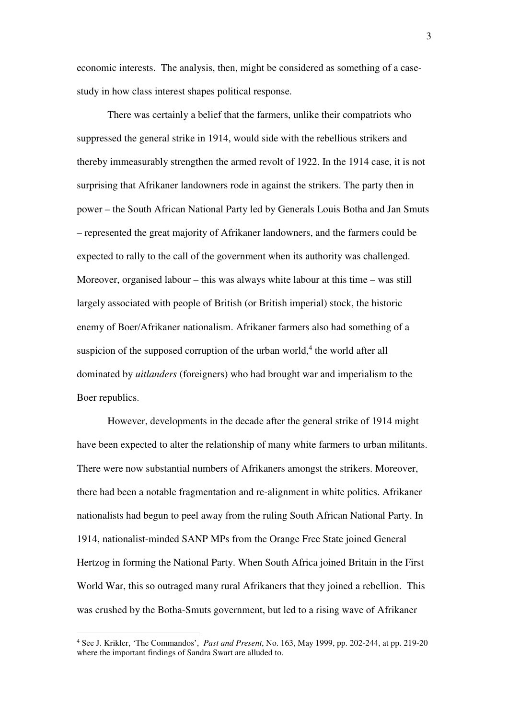economic interests. The analysis, then, might be considered as something of a casestudy in how class interest shapes political response.

There was certainly a belief that the farmers, unlike their compatriots who suppressed the general strike in 1914, would side with the rebellious strikers and thereby immeasurably strengthen the armed revolt of 1922. In the 1914 case, it is not surprising that Afrikaner landowners rode in against the strikers. The party then in power – the South African National Party led by Generals Louis Botha and Jan Smuts – represented the great majority of Afrikaner landowners, and the farmers could be expected to rally to the call of the government when its authority was challenged. Moreover, organised labour – this was always white labour at this time – was still largely associated with people of British (or British imperial) stock, the historic enemy of Boer/Afrikaner nationalism. Afrikaner farmers also had something of a suspicion of the supposed corruption of the urban world, $4$  the world after all dominated by *uitlanders* (foreigners) who had brought war and imperialism to the Boer republics.

However, developments in the decade after the general strike of 1914 might have been expected to alter the relationship of many white farmers to urban militants. There were now substantial numbers of Afrikaners amongst the strikers. Moreover, there had been a notable fragmentation and re-alignment in white politics. Afrikaner nationalists had begun to peel away from the ruling South African National Party. In 1914, nationalist-minded SANP MPs from the Orange Free State joined General Hertzog in forming the National Party. When South Africa joined Britain in the First World War, this so outraged many rural Afrikaners that they joined a rebellion. This was crushed by the Botha-Smuts government, but led to a rising wave of Afrikaner

<sup>4</sup> See J. Krikler, 'The Commandos', *Past and Present*, No. 163, May 1999, pp. 202-244, at pp. 219-20 where the important findings of Sandra Swart are alluded to.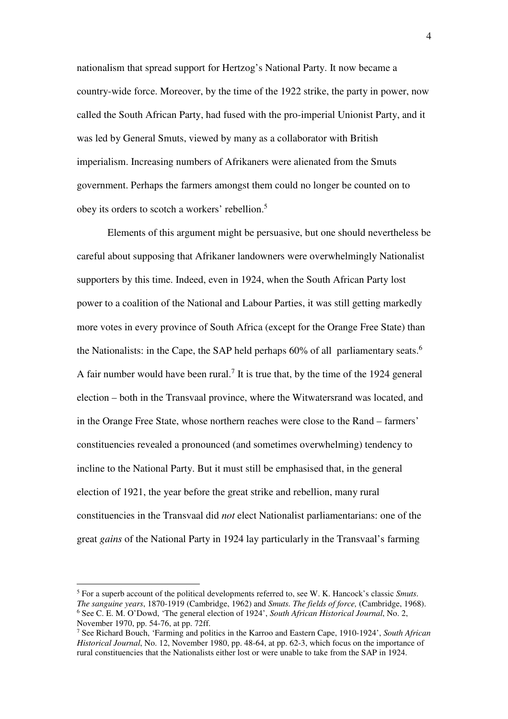nationalism that spread support for Hertzog's National Party. It now became a country-wide force. Moreover, by the time of the 1922 strike, the party in power, now called the South African Party, had fused with the pro-imperial Unionist Party, and it was led by General Smuts, viewed by many as a collaborator with British imperialism. Increasing numbers of Afrikaners were alienated from the Smuts government. Perhaps the farmers amongst them could no longer be counted on to obey its orders to scotch a workers' rebellion.<sup>5</sup>

Elements of this argument might be persuasive, but one should nevertheless be careful about supposing that Afrikaner landowners were overwhelmingly Nationalist supporters by this time. Indeed, even in 1924, when the South African Party lost power to a coalition of the National and Labour Parties, it was still getting markedly more votes in every province of South Africa (except for the Orange Free State) than the Nationalists: in the Cape, the SAP held perhaps 60% of all parliamentary seats.<sup>6</sup> A fair number would have been rural.<sup>7</sup> It is true that, by the time of the 1924 general election – both in the Transvaal province, where the Witwatersrand was located, and in the Orange Free State, whose northern reaches were close to the Rand – farmers' constituencies revealed a pronounced (and sometimes overwhelming) tendency to incline to the National Party. But it must still be emphasised that, in the general election of 1921, the year before the great strike and rebellion, many rural constituencies in the Transvaal did *not* elect Nationalist parliamentarians: one of the great *gains* of the National Party in 1924 lay particularly in the Transvaal's farming

<sup>5</sup> For a superb account of the political developments referred to, see W. K. Hancock's classic *Smuts. The sanguine years*, 1870-1919 (Cambridge, 1962) and *Smuts. The fields of force,* (Cambridge, 1968). 6 See C. E. M. O'Dowd, 'The general election of 1924', *South African Historical Journal*, No. 2, November 1970, pp. 54-76, at pp. 72ff.

<sup>7</sup> See Richard Bouch, 'Farming and politics in the Karroo and Eastern Cape, 1910-1924', *South African Historical Journal*, No. 12, November 1980, pp. 48-64, at pp. 62-3, which focus on the importance of rural constituencies that the Nationalists either lost or were unable to take from the SAP in 1924.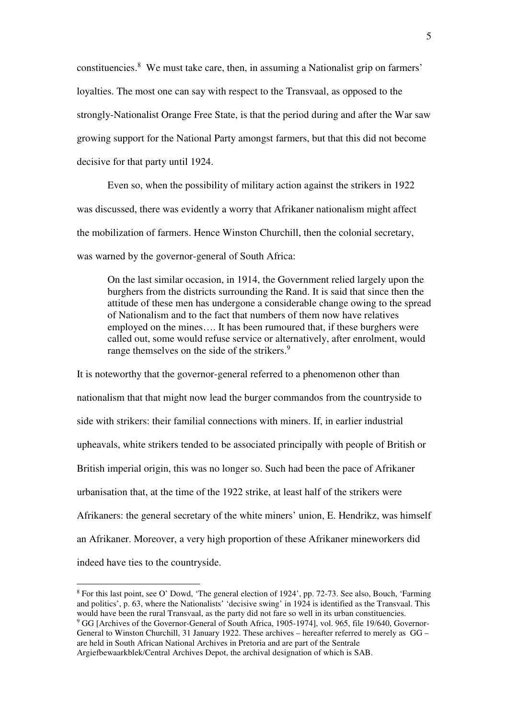constituencies.<sup>8</sup> We must take care, then, in assuming a Nationalist grip on farmers' loyalties. The most one can say with respect to the Transvaal, as opposed to the strongly-Nationalist Orange Free State, is that the period during and after the War saw growing support for the National Party amongst farmers, but that this did not become decisive for that party until 1924.

Even so, when the possibility of military action against the strikers in 1922 was discussed, there was evidently a worry that Afrikaner nationalism might affect the mobilization of farmers. Hence Winston Churchill, then the colonial secretary, was warned by the governor-general of South Africa:

On the last similar occasion, in 1914, the Government relied largely upon the burghers from the districts surrounding the Rand. It is said that since then the attitude of these men has undergone a considerable change owing to the spread of Nationalism and to the fact that numbers of them now have relatives employed on the mines…. It has been rumoured that, if these burghers were called out, some would refuse service or alternatively, after enrolment, would range themselves on the side of the strikers.<sup>9</sup>

It is noteworthy that the governor-general referred to a phenomenon other than nationalism that that might now lead the burger commandos from the countryside to side with strikers: their familial connections with miners. If, in earlier industrial upheavals, white strikers tended to be associated principally with people of British or British imperial origin, this was no longer so. Such had been the pace of Afrikaner urbanisation that, at the time of the 1922 strike, at least half of the strikers were Afrikaners: the general secretary of the white miners' union, E. Hendrikz, was himself an Afrikaner. Moreover, a very high proportion of these Afrikaner mineworkers did indeed have ties to the countryside.

<sup>&</sup>lt;sup>8</sup> For this last point, see O' Dowd, 'The general election of 1924', pp. 72-73. See also, Bouch, 'Farming and politics', p. 63, where the Nationalists' 'decisive swing' in 1924 is identified as the Transvaal. This would have been the rural Transvaal, as the party did not fare so well in its urban constituencies.

<sup>&</sup>lt;sup>9</sup> GG [Archives of the Governor-General of South Africa, 1905-1974], vol. 965, file 19/640, Governor-General to Winston Churchill, 31 January 1922. These archives – hereafter referred to merely as GG – are held in South African National Archives in Pretoria and are part of the Sentrale Argiefbewaarkblek/Central Archives Depot, the archival designation of which is SAB.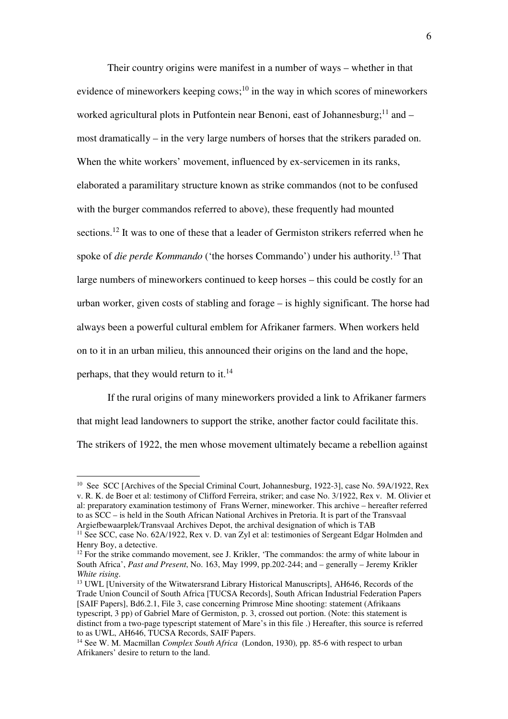Their country origins were manifest in a number of ways – whether in that evidence of mineworkers keeping cows;<sup>10</sup> in the way in which scores of mineworkers worked agricultural plots in Putfontein near Benoni, east of Johannesburg;<sup>11</sup> and  $$ most dramatically – in the very large numbers of horses that the strikers paraded on. When the white workers' movement, influenced by ex-servicemen in its ranks, elaborated a paramilitary structure known as strike commandos (not to be confused with the burger commandos referred to above), these frequently had mounted sections.<sup>12</sup> It was to one of these that a leader of Germiston strikers referred when he spoke of *die perde Kommando* ('the horses Commando') under his authority.<sup>13</sup> That large numbers of mineworkers continued to keep horses – this could be costly for an urban worker, given costs of stabling and forage – is highly significant. The horse had always been a powerful cultural emblem for Afrikaner farmers. When workers held on to it in an urban milieu, this announced their origins on the land and the hope, perhaps, that they would return to it.<sup>14</sup>

If the rural origins of many mineworkers provided a link to Afrikaner farmers that might lead landowners to support the strike, another factor could facilitate this. The strikers of 1922, the men whose movement ultimately became a rebellion against

<sup>&</sup>lt;sup>10</sup> See SCC [Archives of the Special Criminal Court, Johannesburg, 1922-31, case No. 59A/1922, Rex v. R. K. de Boer et al: testimony of Clifford Ferreira, striker; and case No. 3/1922, Rex v. M. Olivier et al: preparatory examination testimony of Frans Werner, mineworker. This archive – hereafter referred to as SCC – is held in the South African National Archives in Pretoria. It is part of the Transvaal Argiefbewaarplek/Transvaal Archives Depot, the archival designation of which is TAB

<sup>&</sup>lt;sup>11</sup> See SCC, case No. 62A/1922, Rex v. D. van Zyl et al: testimonies of Sergeant Edgar Holmden and Henry Boy, a detective.

 $12$  For the strike commando movement, see J. Krikler, 'The commandos: the army of white labour in South Africa', *Past and Present*, No. 163, May 1999, pp.202-244; and – generally – Jeremy Krikler *White rising.* 

<sup>&</sup>lt;sup>13</sup> UWL [University of the Witwatersrand Library Historical Manuscripts], AH646, Records of the Trade Union Council of South Africa [TUCSA Records], South African Industrial Federation Papers [SAIF Papers], Bd6.2.1, File 3, case concerning Primrose Mine shooting: statement (Afrikaans typescript, 3 pp) of Gabriel Mare of Germiston, p. 3, crossed out portion. (Note: this statement is distinct from a two-page typescript statement of Mare's in this file .) Hereafter, this source is referred to as UWL, AH646, TUCSA Records, SAIF Papers.

<sup>14</sup> See W. M. Macmillan *Complex South Africa* (London, 1930)*,* pp. 85-6 with respect to urban Afrikaners' desire to return to the land.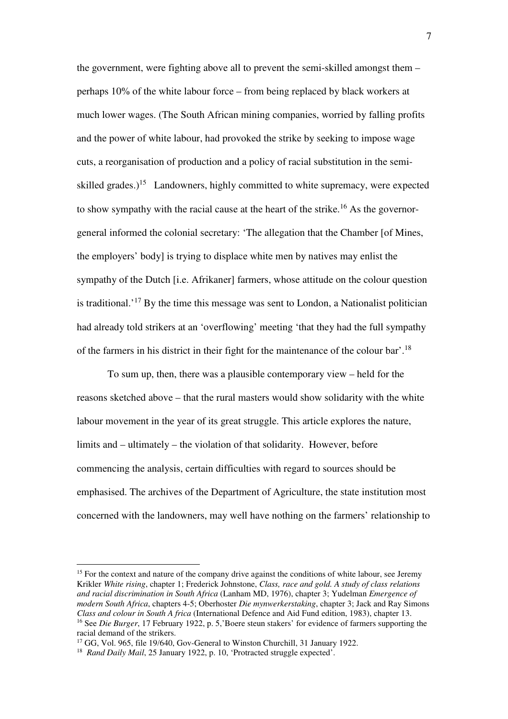the government, were fighting above all to prevent the semi-skilled amongst them – perhaps 10% of the white labour force – from being replaced by black workers at much lower wages. (The South African mining companies, worried by falling profits and the power of white labour, had provoked the strike by seeking to impose wage cuts, a reorganisation of production and a policy of racial substitution in the semiskilled grades.)<sup>15</sup> Landowners, highly committed to white supremacy, were expected to show sympathy with the racial cause at the heart of the strike.<sup>16</sup> As the governorgeneral informed the colonial secretary: 'The allegation that the Chamber [of Mines, the employers' body] is trying to displace white men by natives may enlist the sympathy of the Dutch [i.e. Afrikaner] farmers, whose attitude on the colour question is traditional.'<sup>17</sup> By the time this message was sent to London, a Nationalist politician had already told strikers at an 'overflowing' meeting 'that they had the full sympathy of the farmers in his district in their fight for the maintenance of the colour bar'.<sup>18</sup>

To sum up, then, there was a plausible contemporary view – held for the reasons sketched above – that the rural masters would show solidarity with the white labour movement in the year of its great struggle. This article explores the nature, limits and – ultimately – the violation of that solidarity. However, before commencing the analysis, certain difficulties with regard to sources should be emphasised. The archives of the Department of Agriculture, the state institution most concerned with the landowners, may well have nothing on the farmers' relationship to

<sup>&</sup>lt;sup>15</sup> For the context and nature of the company drive against the conditions of white labour, see Jeremy Krikler *White rising*, chapter 1; Frederick Johnstone, *Class, race and gold. A study of class relations and racial discrimination in South Africa* (Lanham MD, 1976), chapter 3; Yudelman *Emergence of modern South Africa*, chapters 4-5; Oberhoster *Die mynwerkerstaking*, chapter 3; Jack and Ray Simons *Class and colour in South A frica* (International Defence and Aid Fund edition, 1983), chapter 13. <sup>16</sup> See *Die Burger*, 17 February 1922, p. 5, 'Boere steun stakers' for evidence of farmers supporting the racial demand of the strikers.

<sup>&</sup>lt;sup>17</sup> GG, Vol. 965, file 19/640, Gov-General to Winston Churchill, 31 January 1922.

<sup>&</sup>lt;sup>18</sup> Rand Daily Mail, 25 January 1922, p. 10, 'Protracted struggle expected'.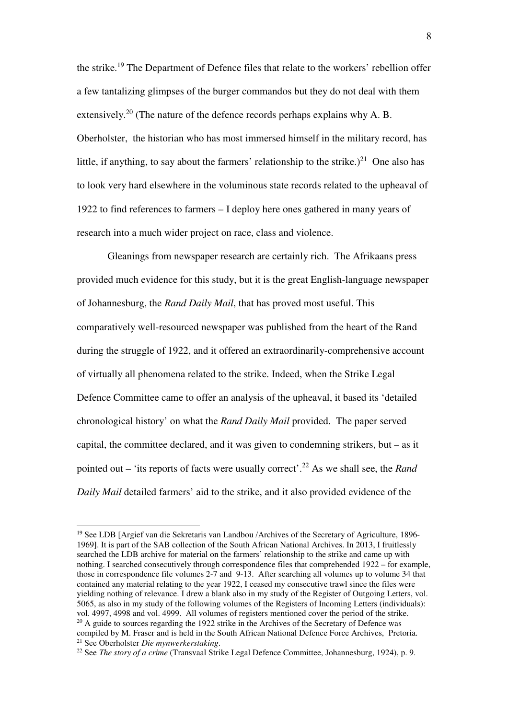the strike.<sup>19</sup> The Department of Defence files that relate to the workers' rebellion offer a few tantalizing glimpses of the burger commandos but they do not deal with them extensively.<sup>20</sup> (The nature of the defence records perhaps explains why A. B. Oberholster, the historian who has most immersed himself in the military record, has little, if anything, to say about the farmers' relationship to the strike.)<sup>21</sup> One also has to look very hard elsewhere in the voluminous state records related to the upheaval of 1922 to find references to farmers – I deploy here ones gathered in many years of research into a much wider project on race, class and violence.

Gleanings from newspaper research are certainly rich. The Afrikaans press provided much evidence for this study, but it is the great English-language newspaper of Johannesburg, the *Rand Daily Mail*, that has proved most useful. This comparatively well-resourced newspaper was published from the heart of the Rand during the struggle of 1922, and it offered an extraordinarily-comprehensive account of virtually all phenomena related to the strike. Indeed, when the Strike Legal Defence Committee came to offer an analysis of the upheaval, it based its 'detailed chronological history' on what the *Rand Daily Mail* provided. The paper served capital, the committee declared, and it was given to condemning strikers, but – as it pointed out – 'its reports of facts were usually correct'.<sup>22</sup> As we shall see, the *Rand Daily Mail* detailed farmers' aid to the strike, and it also provided evidence of the

<sup>19</sup> See LDB [Argief van die Sekretaris van Landbou /Archives of the Secretary of Agriculture, 1896- 1969]. It is part of the SAB collection of the South African National Archives. In 2013, I fruitlessly searched the LDB archive for material on the farmers' relationship to the strike and came up with nothing. I searched consecutively through correspondence files that comprehended 1922 – for example, those in correspondence file volumes 2-7 and 9-13. After searching all volumes up to volume 34 that contained any material relating to the year 1922, I ceased my consecutive trawl since the files were yielding nothing of relevance. I drew a blank also in my study of the Register of Outgoing Letters, vol. 5065, as also in my study of the following volumes of the Registers of Incoming Letters (individuals): vol. 4997, 4998 and vol. 4999. All volumes of registers mentioned cover the period of the strike.  $^{20}$  A guide to sources regarding the 1922 strike in the Archives of the Secretary of Defence was compiled by M. Fraser and is held in the South African National Defence Force Archives, Pretoria. <sup>21</sup> See Oberholster *Die mynwerkerstaking*.

<sup>22</sup> See *The story of a crime* (Transvaal Strike Legal Defence Committee, Johannesburg, 1924), p. 9.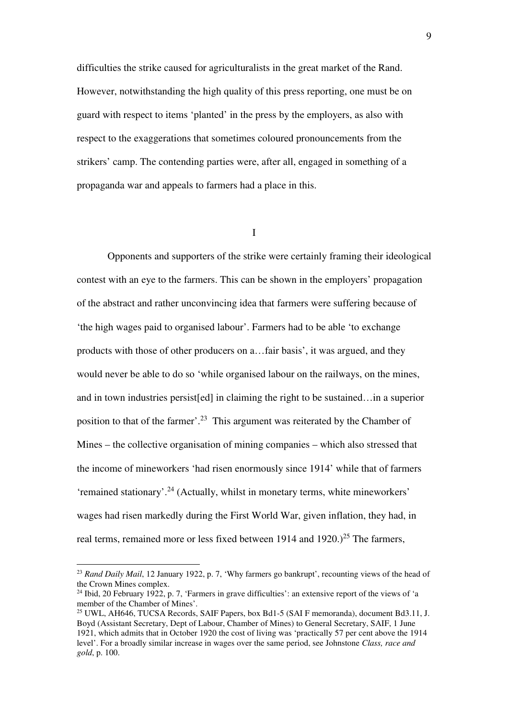difficulties the strike caused for agriculturalists in the great market of the Rand. However, notwithstanding the high quality of this press reporting, one must be on guard with respect to items 'planted' in the press by the employers, as also with respect to the exaggerations that sometimes coloured pronouncements from the strikers' camp. The contending parties were, after all, engaged in something of a propaganda war and appeals to farmers had a place in this.

I

Opponents and supporters of the strike were certainly framing their ideological contest with an eye to the farmers. This can be shown in the employers' propagation of the abstract and rather unconvincing idea that farmers were suffering because of 'the high wages paid to organised labour'. Farmers had to be able 'to exchange products with those of other producers on a…fair basis', it was argued, and they would never be able to do so 'while organised labour on the railways, on the mines, and in town industries persisted in claiming the right to be sustained... in a superior position to that of the farmer'.<sup>23</sup> This argument was reiterated by the Chamber of Mines – the collective organisation of mining companies – which also stressed that the income of mineworkers 'had risen enormously since 1914' while that of farmers 'remained stationary'.<sup>24</sup> (Actually, whilst in monetary terms, white mineworkers' wages had risen markedly during the First World War, given inflation, they had, in real terms, remained more or less fixed between 1914 and 1920.)<sup>25</sup> The farmers,

<sup>23</sup> *Rand Daily Mail*, 12 January 1922, p. 7, 'Why farmers go bankrupt', recounting views of the head of the Crown Mines complex.

<sup>&</sup>lt;sup>24</sup> Ibid, 20 February 1922, p. 7, 'Farmers in grave difficulties': an extensive report of the views of 'a member of the Chamber of Mines'.

<sup>25</sup> UWL, AH646, TUCSA Records, SAIF Papers, box Bd1-5 (SAI F memoranda), document Bd3.11, J. Boyd (Assistant Secretary, Dept of Labour, Chamber of Mines) to General Secretary, SAIF, 1 June 1921, which admits that in October 1920 the cost of living was 'practically 57 per cent above the 1914 level'. For a broadly similar increase in wages over the same period, see Johnstone *Class, race and gold*, p. 100.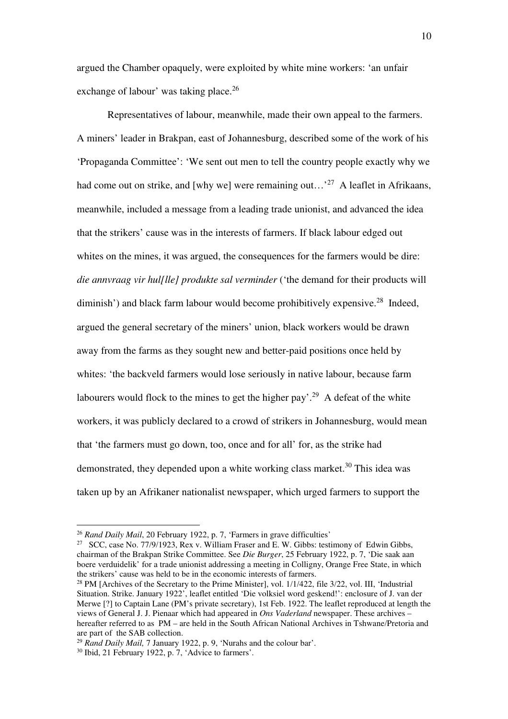argued the Chamber opaquely, were exploited by white mine workers: 'an unfair exchange of labour' was taking place.<sup>26</sup>

Representatives of labour, meanwhile, made their own appeal to the farmers. A miners' leader in Brakpan, east of Johannesburg, described some of the work of his 'Propaganda Committee': 'We sent out men to tell the country people exactly why we had come out on strike, and [why we] were remaining out...<sup>27</sup> A leaflet in Afrikaans, meanwhile, included a message from a leading trade unionist, and advanced the idea that the strikers' cause was in the interests of farmers. If black labour edged out whites on the mines, it was argued, the consequences for the farmers would be dire: *die annvraag vir hul[lle] produkte sal verminder* ('the demand for their products will diminish') and black farm labour would become prohibitively expensive.<sup>28</sup> Indeed, argued the general secretary of the miners' union, black workers would be drawn away from the farms as they sought new and better-paid positions once held by whites: 'the backveld farmers would lose seriously in native labour, because farm labourers would flock to the mines to get the higher pay'.<sup>29</sup> A defeat of the white workers, it was publicly declared to a crowd of strikers in Johannesburg, would mean that 'the farmers must go down, too, once and for all' for, as the strike had demonstrated, they depended upon a white working class market.<sup>30</sup> This idea was taken up by an Afrikaner nationalist newspaper, which urged farmers to support the

<sup>26</sup> *Rand Daily Mail*, 20 February 1922, p. 7, 'Farmers in grave difficulties'

<sup>&</sup>lt;sup>27</sup> SCC, case No. 77/9/1923, Rex v. William Fraser and E. W. Gibbs: testimony of Edwin Gibbs, chairman of the Brakpan Strike Committee. See *Die Burger*, 25 February 1922, p. 7, 'Die saak aan boere verduidelik' for a trade unionist addressing a meeting in Colligny, Orange Free State, in which the strikers' cause was held to be in the economic interests of farmers.

<sup>&</sup>lt;sup>28</sup> PM [Archives of the Secretary to the Prime Minister], vol. 1/1/422, file 3/22, vol. III, 'Industrial Situation. Strike. January 1922', leaflet entitled 'Die volksiel word geskend!': enclosure of J. van der Merwe [?] to Captain Lane (PM's private secretary), 1st Feb. 1922. The leaflet reproduced at length the views of General J. J. Pienaar which had appeared in *Ons Vaderland* newspaper. These archives – hereafter referred to as PM – are held in the South African National Archives in Tshwane/Pretoria and are part of the SAB collection.

<sup>29</sup> *Rand Daily Mail,* 7 January 1922, p. 9, 'Nurahs and the colour bar'.

<sup>30</sup> Ibid, 21 February 1922, p. 7, 'Advice to farmers'.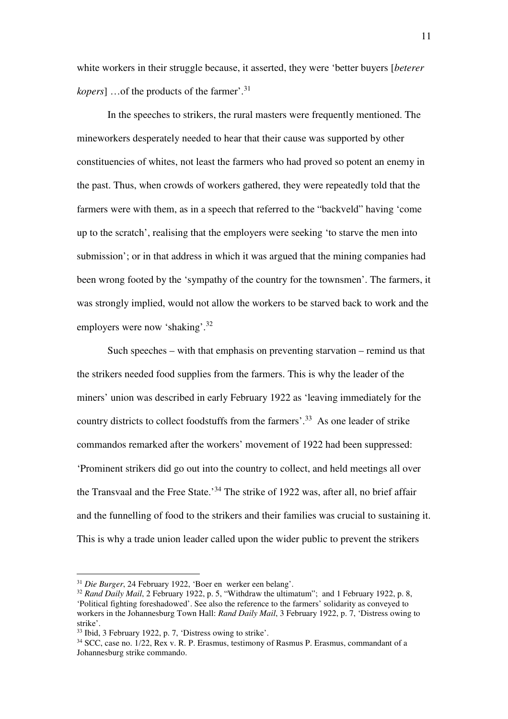white workers in their struggle because, it asserted, they were 'better buyers [*beterer kopers*] …of the products of the farmer'.<sup>31</sup>

In the speeches to strikers, the rural masters were frequently mentioned. The mineworkers desperately needed to hear that their cause was supported by other constituencies of whites, not least the farmers who had proved so potent an enemy in the past. Thus, when crowds of workers gathered, they were repeatedly told that the farmers were with them, as in a speech that referred to the "backveld" having 'come up to the scratch', realising that the employers were seeking 'to starve the men into submission'; or in that address in which it was argued that the mining companies had been wrong footed by the 'sympathy of the country for the townsmen'. The farmers, it was strongly implied, would not allow the workers to be starved back to work and the employers were now 'shaking'.<sup>32</sup>

Such speeches – with that emphasis on preventing starvation – remind us that the strikers needed food supplies from the farmers. This is why the leader of the miners' union was described in early February 1922 as 'leaving immediately for the country districts to collect foodstuffs from the farmers'.<sup>33</sup> As one leader of strike commandos remarked after the workers' movement of 1922 had been suppressed: 'Prominent strikers did go out into the country to collect, and held meetings all over the Transvaal and the Free State.'<sup>34</sup> The strike of 1922 was, after all, no brief affair and the funnelling of food to the strikers and their families was crucial to sustaining it. This is why a trade union leader called upon the wider public to prevent the strikers

<sup>31</sup> *Die Burger*, 24 February 1922, 'Boer en werker een belang'.

<sup>&</sup>lt;sup>32</sup> *Rand Daily Mail*, 2 February 1922, p. 5, "Withdraw the ultimatum"; and 1 February 1922, p. 8, 'Political fighting foreshadowed'. See also the reference to the farmers' solidarity as conveyed to workers in the Johannesburg Town Hall: *Rand Daily Mail*, 3 February 1922, p. 7, 'Distress owing to strike'.

<sup>33</sup> Ibid, 3 February 1922, p. 7, 'Distress owing to strike'.

<sup>&</sup>lt;sup>34</sup> SCC, case no. 1/22, Rex v. R. P. Erasmus, testimony of Rasmus P. Erasmus, commandant of a Johannesburg strike commando.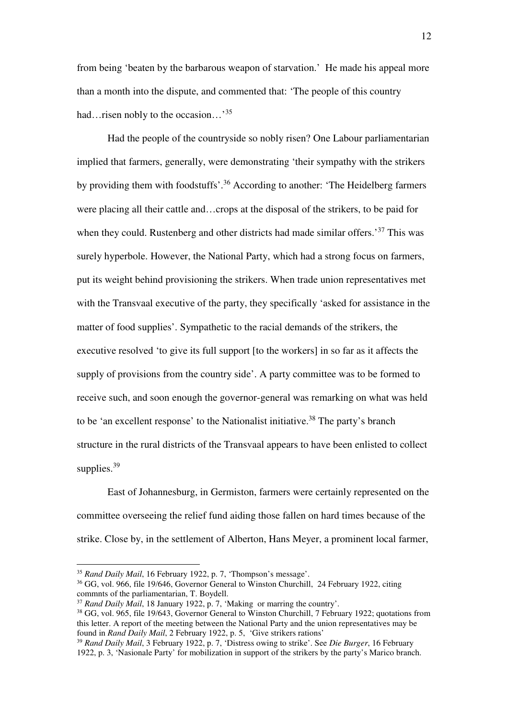from being 'beaten by the barbarous weapon of starvation.' He made his appeal more than a month into the dispute, and commented that: 'The people of this country had... risen nobly to the occasion...'<sup>35</sup>

Had the people of the countryside so nobly risen? One Labour parliamentarian implied that farmers, generally, were demonstrating 'their sympathy with the strikers by providing them with foodstuffs'.<sup>36</sup> According to another: 'The Heidelberg farmers were placing all their cattle and…crops at the disposal of the strikers, to be paid for when they could. Rustenberg and other districts had made similar offers.<sup>37</sup> This was surely hyperbole. However, the National Party, which had a strong focus on farmers, put its weight behind provisioning the strikers. When trade union representatives met with the Transvaal executive of the party, they specifically 'asked for assistance in the matter of food supplies'. Sympathetic to the racial demands of the strikers, the executive resolved 'to give its full support [to the workers] in so far as it affects the supply of provisions from the country side'. A party committee was to be formed to receive such, and soon enough the governor-general was remarking on what was held to be 'an excellent response' to the Nationalist initiative.<sup>38</sup> The party's branch structure in the rural districts of the Transvaal appears to have been enlisted to collect supplies.<sup>39</sup>

East of Johannesburg, in Germiston, farmers were certainly represented on the committee overseeing the relief fund aiding those fallen on hard times because of the strike. Close by, in the settlement of Alberton, Hans Meyer, a prominent local farmer,

 $\overline{a}$ 

<sup>36</sup> GG, vol. 966, file 19/646, Governor General to Winston Churchill, 24 February 1922, citing commnts of the parliamentarian, T. Boydell.

<sup>35</sup> *Rand Daily Mail*, 16 February 1922, p. 7, 'Thompson's message'.

<sup>37</sup> *Rand Daily Mail*, 18 January 1922, p. 7, 'Making or marring the country'.

<sup>38</sup> GG, vol. 965, file 19/643, Governor General to Winston Churchill, 7 February 1922; quotations from this letter. A report of the meeting between the National Party and the union representatives may be found in *Rand Daily Mail*, 2 February 1922, p. 5, 'Give strikers rations'

<sup>39</sup> *Rand Daily Mail*, 3 February 1922, p. 7, 'Distress owing to strike'. See *Die Burger*, 16 February 1922, p. 3, 'Nasionale Party' for mobilization in support of the strikers by the party's Marico branch.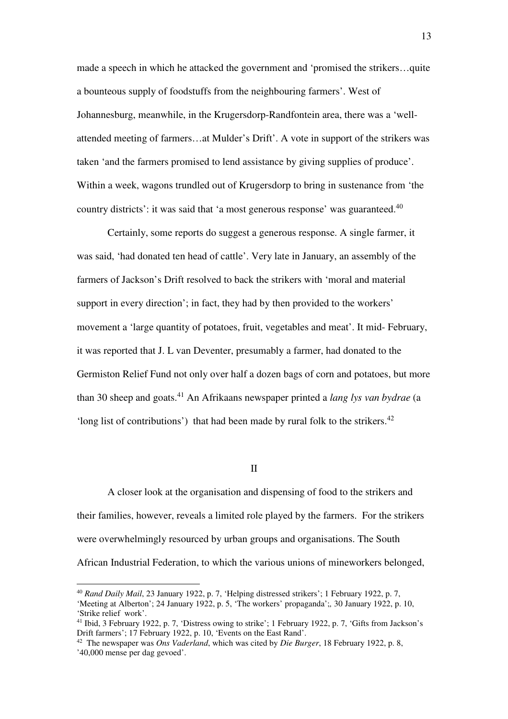made a speech in which he attacked the government and 'promised the strikers…quite a bounteous supply of foodstuffs from the neighbouring farmers'. West of Johannesburg, meanwhile, in the Krugersdorp-Randfontein area, there was a 'wellattended meeting of farmers…at Mulder's Drift'. A vote in support of the strikers was taken 'and the farmers promised to lend assistance by giving supplies of produce'. Within a week, wagons trundled out of Krugersdorp to bring in sustenance from 'the country districts': it was said that 'a most generous response' was guaranteed.<sup>40</sup>

Certainly, some reports do suggest a generous response. A single farmer, it was said, 'had donated ten head of cattle'. Very late in January, an assembly of the farmers of Jackson's Drift resolved to back the strikers with 'moral and material support in every direction'; in fact, they had by then provided to the workers' movement a 'large quantity of potatoes, fruit, vegetables and meat'. It mid- February, it was reported that J. L van Deventer, presumably a farmer, had donated to the Germiston Relief Fund not only over half a dozen bags of corn and potatoes, but more than 30 sheep and goats.<sup>41</sup> An Afrikaans newspaper printed a *lang lys van bydrae* (a 'long list of contributions') that had been made by rural folk to the strikers.<sup>42</sup>

II

A closer look at the organisation and dispensing of food to the strikers and their families, however, reveals a limited role played by the farmers. For the strikers were overwhelmingly resourced by urban groups and organisations. The South African Industrial Federation, to which the various unions of mineworkers belonged,

<sup>40</sup> *Rand Daily Mail*, 23 January 1922, p. 7, 'Helping distressed strikers'; 1 February 1922, p. 7, 'Meeting at Alberton'; 24 January 1922, p. 5, 'The workers' propaganda';*,* 30 January 1922, p. 10, 'Strike relief work'.

<sup>41</sup> Ibid, 3 February 1922, p. 7, 'Distress owing to strike'; 1 February 1922, p. 7, 'Gifts from Jackson's Drift farmers'; 17 February 1922, p. 10, 'Events on the East Rand'.

<sup>42</sup> The newspaper was *Ons Vaderland*, which was cited by *Die Burger*, 18 February 1922, p. 8, '40,000 mense per dag gevoed'.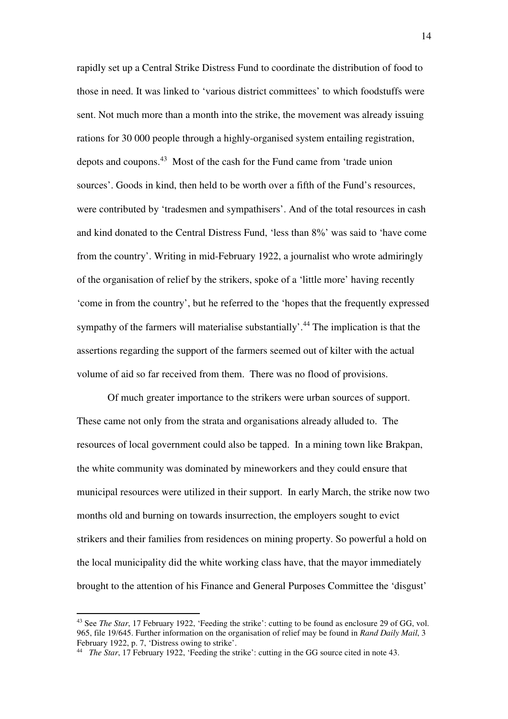rapidly set up a Central Strike Distress Fund to coordinate the distribution of food to those in need. It was linked to 'various district committees' to which foodstuffs were sent. Not much more than a month into the strike, the movement was already issuing rations for 30 000 people through a highly-organised system entailing registration, depots and coupons.<sup>43</sup> Most of the cash for the Fund came from 'trade union sources'. Goods in kind, then held to be worth over a fifth of the Fund's resources, were contributed by 'tradesmen and sympathisers'. And of the total resources in cash and kind donated to the Central Distress Fund, 'less than 8%' was said to 'have come from the country'. Writing in mid-February 1922, a journalist who wrote admiringly of the organisation of relief by the strikers, spoke of a 'little more' having recently 'come in from the country', but he referred to the 'hopes that the frequently expressed sympathy of the farmers will materialise substantially'.<sup>44</sup> The implication is that the assertions regarding the support of the farmers seemed out of kilter with the actual volume of aid so far received from them. There was no flood of provisions.

Of much greater importance to the strikers were urban sources of support. These came not only from the strata and organisations already alluded to. The resources of local government could also be tapped. In a mining town like Brakpan, the white community was dominated by mineworkers and they could ensure that municipal resources were utilized in their support. In early March, the strike now two months old and burning on towards insurrection, the employers sought to evict strikers and their families from residences on mining property. So powerful a hold on the local municipality did the white working class have, that the mayor immediately brought to the attention of his Finance and General Purposes Committee the 'disgust'

<sup>43</sup> See *The Star*, 17 February 1922, 'Feeding the strike': cutting to be found as enclosure 29 of GG, vol. 965, file 19/645. Further information on the organisation of relief may be found in *Rand Daily Mail*, 3 February 1922, p. 7, 'Distress owing to strike'.

<sup>44</sup> *The Star*, 17 February 1922, 'Feeding the strike': cutting in the GG source cited in note 43.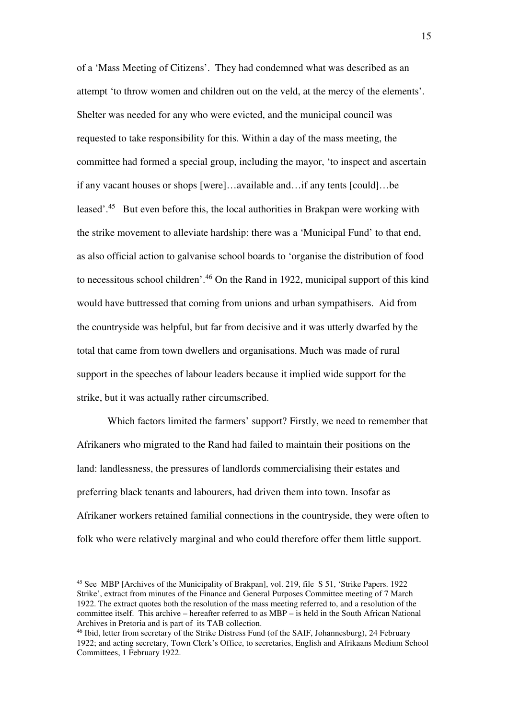of a 'Mass Meeting of Citizens'. They had condemned what was described as an attempt 'to throw women and children out on the veld, at the mercy of the elements'. Shelter was needed for any who were evicted, and the municipal council was requested to take responsibility for this. Within a day of the mass meeting, the committee had formed a special group, including the mayor, 'to inspect and ascertain if any vacant houses or shops [were]…available and…if any tents [could]…be leased'.<sup>45</sup> But even before this, the local authorities in Brakpan were working with the strike movement to alleviate hardship: there was a 'Municipal Fund' to that end, as also official action to galvanise school boards to 'organise the distribution of food to necessitous school children'.<sup>46</sup> On the Rand in 1922, municipal support of this kind would have buttressed that coming from unions and urban sympathisers. Aid from the countryside was helpful, but far from decisive and it was utterly dwarfed by the total that came from town dwellers and organisations. Much was made of rural support in the speeches of labour leaders because it implied wide support for the strike, but it was actually rather circumscribed.

Which factors limited the farmers' support? Firstly, we need to remember that Afrikaners who migrated to the Rand had failed to maintain their positions on the land: landlessness, the pressures of landlords commercialising their estates and preferring black tenants and labourers, had driven them into town. Insofar as Afrikaner workers retained familial connections in the countryside, they were often to folk who were relatively marginal and who could therefore offer them little support.

<sup>45</sup> See MBP [Archives of the Municipality of Brakpan], vol. 219, file S 51, 'Strike Papers. 1922 Strike', extract from minutes of the Finance and General Purposes Committee meeting of 7 March 1922. The extract quotes both the resolution of the mass meeting referred to, and a resolution of the committee itself. This archive – hereafter referred to as MBP – is held in the South African National Archives in Pretoria and is part of its TAB collection.

<sup>46</sup> Ibid, letter from secretary of the Strike Distress Fund (of the SAIF, Johannesburg), 24 February 1922; and acting secretary, Town Clerk's Office, to secretaries, English and Afrikaans Medium School Committees, 1 February 1922.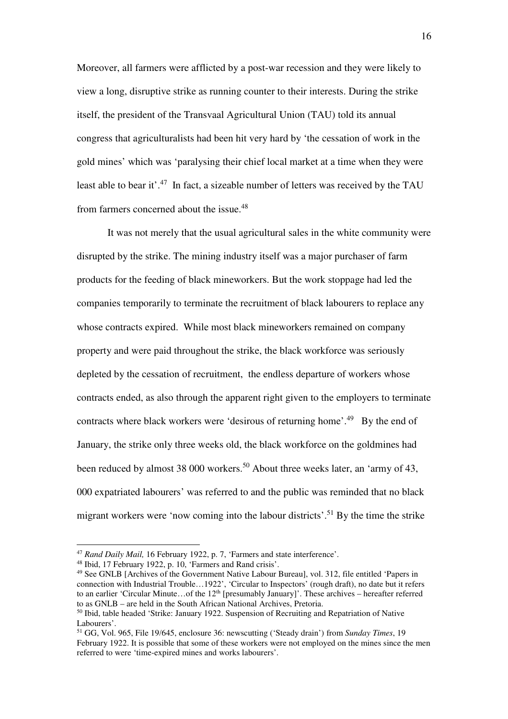Moreover, all farmers were afflicted by a post-war recession and they were likely to view a long, disruptive strike as running counter to their interests. During the strike itself, the president of the Transvaal Agricultural Union (TAU) told its annual congress that agriculturalists had been hit very hard by 'the cessation of work in the gold mines' which was 'paralysing their chief local market at a time when they were least able to bear it'.<sup>47</sup> In fact, a sizeable number of letters was received by the TAU from farmers concerned about the issue.<sup>48</sup>

It was not merely that the usual agricultural sales in the white community were disrupted by the strike. The mining industry itself was a major purchaser of farm products for the feeding of black mineworkers. But the work stoppage had led the companies temporarily to terminate the recruitment of black labourers to replace any whose contracts expired. While most black mineworkers remained on company property and were paid throughout the strike, the black workforce was seriously depleted by the cessation of recruitment, the endless departure of workers whose contracts ended, as also through the apparent right given to the employers to terminate contracts where black workers were 'desirous of returning home'.<sup>49</sup> By the end of January, the strike only three weeks old, the black workforce on the goldmines had been reduced by almost 38 000 workers.<sup>50</sup> About three weeks later, an 'army of 43, 000 expatriated labourers' was referred to and the public was reminded that no black migrant workers were 'now coming into the labour districts'.<sup>51</sup> By the time the strike

<sup>47</sup> *Rand Daily Mail,* 16 February 1922, p. 7, 'Farmers and state interference'.

<sup>48</sup> Ibid, 17 February 1922, p. 10, 'Farmers and Rand crisis'.

<sup>49</sup> See GNLB [Archives of the Government Native Labour Bureau], vol. 312, file entitled 'Papers in connection with Industrial Trouble…1922', 'Circular to Inspectors' (rough draft), no date but it refers to an earlier 'Circular Minute...of the 12<sup>th</sup> [presumably January]'. These archives – hereafter referred to as GNLB – are held in the South African National Archives, Pretoria.

<sup>50</sup> Ibid, table headed 'Strike: January 1922. Suspension of Recruiting and Repatriation of Native Labourers'.

<sup>51</sup> GG, Vol. 965, File 19/645, enclosure 36: newscutting ('Steady drain') from *Sunday Times*, 19 February 1922. It is possible that some of these workers were not employed on the mines since the men referred to were 'time-expired mines and works labourers'.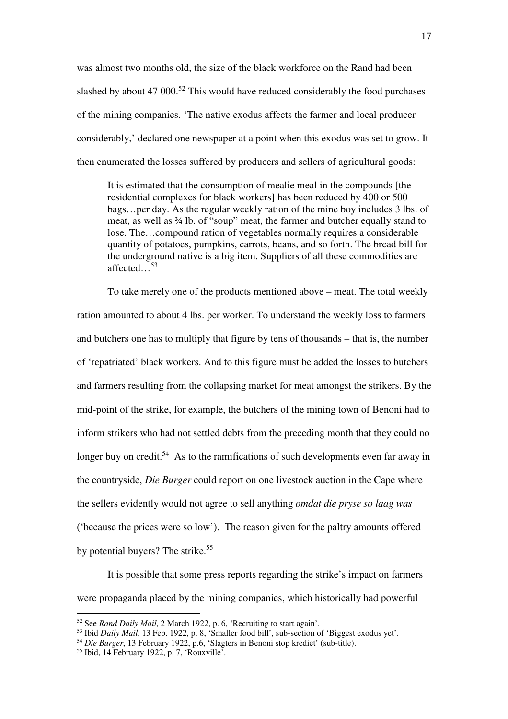was almost two months old, the size of the black workforce on the Rand had been slashed by about 47 000.<sup>52</sup> This would have reduced considerably the food purchases of the mining companies. 'The native exodus affects the farmer and local producer considerably,' declared one newspaper at a point when this exodus was set to grow. It then enumerated the losses suffered by producers and sellers of agricultural goods:

It is estimated that the consumption of mealie meal in the compounds [the residential complexes for black workers] has been reduced by 400 or 500 bags…per day. As the regular weekly ration of the mine boy includes 3 lbs. of meat, as well as ¾ lb. of "soup" meat, the farmer and butcher equally stand to lose. The…compound ration of vegetables normally requires a considerable quantity of potatoes, pumpkins, carrots, beans, and so forth. The bread bill for the underground native is a big item. Suppliers of all these commodities are affected…<sup>53</sup>

To take merely one of the products mentioned above – meat. The total weekly ration amounted to about 4 lbs. per worker. To understand the weekly loss to farmers and butchers one has to multiply that figure by tens of thousands – that is, the number of 'repatriated' black workers. And to this figure must be added the losses to butchers and farmers resulting from the collapsing market for meat amongst the strikers. By the mid-point of the strike, for example, the butchers of the mining town of Benoni had to inform strikers who had not settled debts from the preceding month that they could no longer buy on credit.<sup>54</sup> As to the ramifications of such developments even far away in the countryside, *Die Burger* could report on one livestock auction in the Cape where the sellers evidently would not agree to sell anything *omdat die pryse so laag was* ('because the prices were so low'). The reason given for the paltry amounts offered by potential buyers? The strike.<sup>55</sup>

It is possible that some press reports regarding the strike's impact on farmers were propaganda placed by the mining companies, which historically had powerful

<sup>52</sup> See *Rand Daily Mail*, 2 March 1922, p. 6, 'Recruiting to start again'.

<sup>53</sup> Ibid *Daily Mail*, 13 Feb. 1922, p. 8, 'Smaller food bill', sub-section of 'Biggest exodus yet'.

<sup>54</sup> *Die Burger*, 13 February 1922, p.6, 'Slagters in Benoni stop krediet' (sub-title).

<sup>55</sup> Ibid, 14 February 1922, p. 7, 'Rouxville'.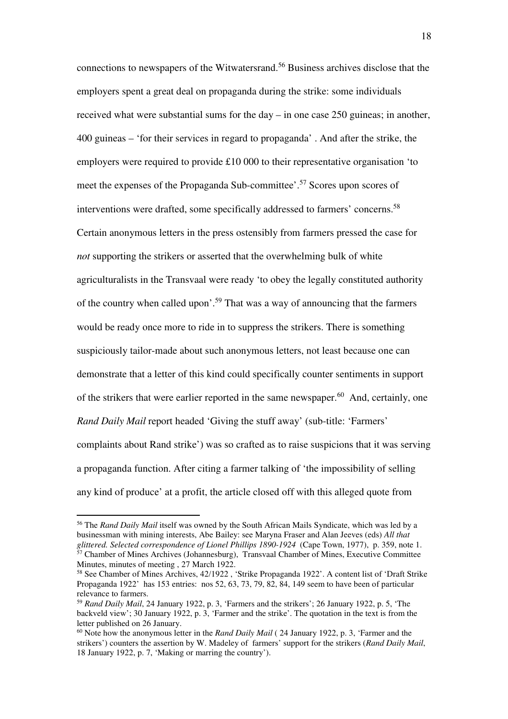connections to newspapers of the Witwatersrand.<sup>56</sup> Business archives disclose that the employers spent a great deal on propaganda during the strike: some individuals received what were substantial sums for the day – in one case 250 guineas; in another, 400 guineas – 'for their services in regard to propaganda' . And after the strike, the employers were required to provide £10 000 to their representative organisation 'to meet the expenses of the Propaganda Sub-committee'.<sup>57</sup> Scores upon scores of interventions were drafted, some specifically addressed to farmers' concerns.<sup>58</sup> Certain anonymous letters in the press ostensibly from farmers pressed the case for *not* supporting the strikers or asserted that the overwhelming bulk of white agriculturalists in the Transvaal were ready 'to obey the legally constituted authority of the country when called upon'.<sup>59</sup> That was a way of announcing that the farmers would be ready once more to ride in to suppress the strikers. There is something suspiciously tailor-made about such anonymous letters, not least because one can demonstrate that a letter of this kind could specifically counter sentiments in support of the strikers that were earlier reported in the same newspaper.<sup>60</sup> And, certainly, one *Rand Daily Mail* report headed 'Giving the stuff away' (sub-title: 'Farmers' complaints about Rand strike') was so crafted as to raise suspicions that it was serving a propaganda function. After citing a farmer talking of 'the impossibility of selling any kind of produce' at a profit, the article closed off with this alleged quote from

<sup>56</sup> The *Rand Daily Mail* itself was owned by the South African Mails Syndicate, which was led by a businessman with mining interests, Abe Bailey: see Maryna Fraser and Alan Jeeves (eds) *All that glittered. Selected correspondence of Lionel Phillips 1890-1924* (Cape Town, 1977), p. 359, note 1.  $57$  Chamber of Mines Archives (Johannesburg), Transvaal Chamber of Mines, Executive Committee Minutes, minutes of meeting , 27 March 1922.

<sup>58</sup> See Chamber of Mines Archives, 42/1922 , 'Strike Propaganda 1922'. A content list of 'Draft Strike Propaganda 1922' has 153 entries: nos 52, 63, 73, 79, 82, 84, 149 seem to have been of particular relevance to farmers.

<sup>59</sup> *Rand Daily Mail*, 24 January 1922, p. 3, 'Farmers and the strikers'; 26 January 1922, p. 5, 'The backveld view'; 30 January 1922, p. 3, 'Farmer and the strike'. The quotation in the text is from the letter published on 26 January.

<sup>60</sup> Note how the anonymous letter in the *Rand Daily Mail* ( 24 January 1922, p. 3, 'Farmer and the strikers') counters the assertion by W. Madeley of farmers' support for the strikers (*Rand Daily Mail*, 18 January 1922, p. 7, 'Making or marring the country').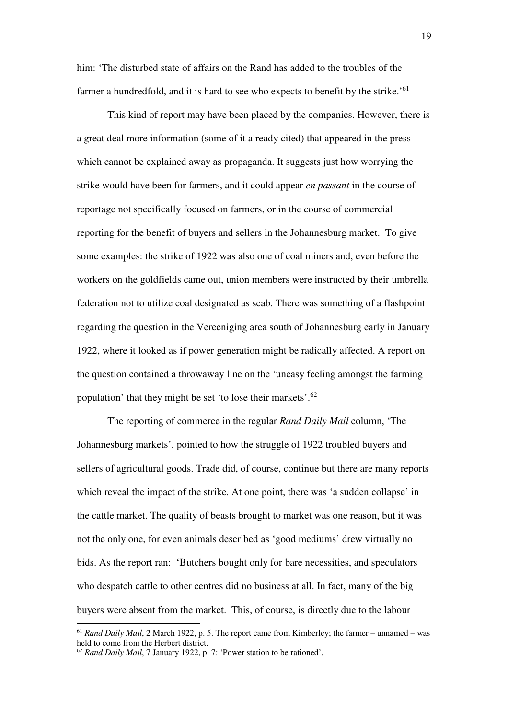him: 'The disturbed state of affairs on the Rand has added to the troubles of the farmer a hundredfold, and it is hard to see who expects to benefit by the strike.<sup>'61</sup>

This kind of report may have been placed by the companies. However, there is a great deal more information (some of it already cited) that appeared in the press which cannot be explained away as propaganda. It suggests just how worrying the strike would have been for farmers, and it could appear *en passant* in the course of reportage not specifically focused on farmers, or in the course of commercial reporting for the benefit of buyers and sellers in the Johannesburg market. To give some examples: the strike of 1922 was also one of coal miners and, even before the workers on the goldfields came out, union members were instructed by their umbrella federation not to utilize coal designated as scab. There was something of a flashpoint regarding the question in the Vereeniging area south of Johannesburg early in January 1922, where it looked as if power generation might be radically affected. A report on the question contained a throwaway line on the 'uneasy feeling amongst the farming population' that they might be set 'to lose their markets'.<sup>62</sup>

The reporting of commerce in the regular *Rand Daily Mail* column, 'The Johannesburg markets', pointed to how the struggle of 1922 troubled buyers and sellers of agricultural goods. Trade did, of course, continue but there are many reports which reveal the impact of the strike. At one point, there was 'a sudden collapse' in the cattle market. The quality of beasts brought to market was one reason, but it was not the only one, for even animals described as 'good mediums' drew virtually no bids. As the report ran: 'Butchers bought only for bare necessities, and speculators who despatch cattle to other centres did no business at all. In fact, many of the big buyers were absent from the market. This, of course, is directly due to the labour

<sup>61</sup> *Rand Daily Mail*, 2 March 1922, p. 5. The report came from Kimberley; the farmer – unnamed – was held to come from the Herbert district.

<sup>62</sup> *Rand Daily Mail*, 7 January 1922, p. 7: 'Power station to be rationed'.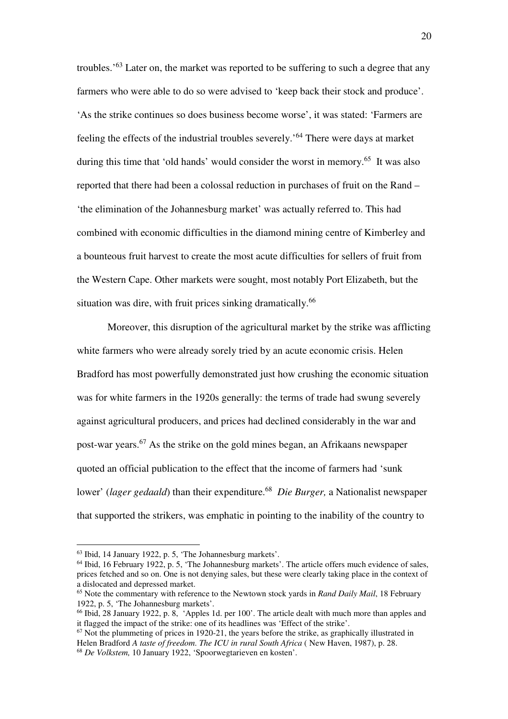troubles.'<sup>63</sup> Later on, the market was reported to be suffering to such a degree that any farmers who were able to do so were advised to 'keep back their stock and produce'. 'As the strike continues so does business become worse', it was stated: 'Farmers are feeling the effects of the industrial troubles severely.'<sup>64</sup> There were days at market during this time that 'old hands' would consider the worst in memory.<sup>65</sup> It was also reported that there had been a colossal reduction in purchases of fruit on the Rand – 'the elimination of the Johannesburg market' was actually referred to. This had combined with economic difficulties in the diamond mining centre of Kimberley and a bounteous fruit harvest to create the most acute difficulties for sellers of fruit from the Western Cape. Other markets were sought, most notably Port Elizabeth, but the situation was dire, with fruit prices sinking dramatically.<sup>66</sup>

 Moreover, this disruption of the agricultural market by the strike was afflicting white farmers who were already sorely tried by an acute economic crisis. Helen Bradford has most powerfully demonstrated just how crushing the economic situation was for white farmers in the 1920s generally: the terms of trade had swung severely against agricultural producers, and prices had declined considerably in the war and post-war years.<sup>67</sup> As the strike on the gold mines began, an Afrikaans newspaper quoted an official publication to the effect that the income of farmers had 'sunk lower' (*lager gedaald*) than their expenditure.<sup>68</sup> Die Burger, a Nationalist newspaper that supported the strikers, was emphatic in pointing to the inability of the country to

<sup>63</sup> Ibid, 14 January 1922, p. 5, 'The Johannesburg markets'.

<sup>&</sup>lt;sup>64</sup> Ibid, 16 February 1922, p. 5, 'The Johannesburg markets'. The article offers much evidence of sales, prices fetched and so on. One is not denying sales, but these were clearly taking place in the context of a dislocated and depressed market.

<sup>65</sup> Note the commentary with reference to the Newtown stock yards in *Rand Daily Mail*, 18 February 1922, p. 5, 'The Johannesburg markets'.

<sup>66</sup> Ibid, 28 January 1922, p. 8, 'Apples 1d. per 100'. The article dealt with much more than apples and it flagged the impact of the strike: one of its headlines was 'Effect of the strike'.

 $67$  Not the plummeting of prices in 1920-21, the years before the strike, as graphically illustrated in Helen Bradford *A taste of freedom*. *The ICU in rural South Africa* ( New Haven, 1987), p. 28. <sup>68</sup> *De Volkstem,* 10 January 1922, 'Spoorwegtarieven en kosten'.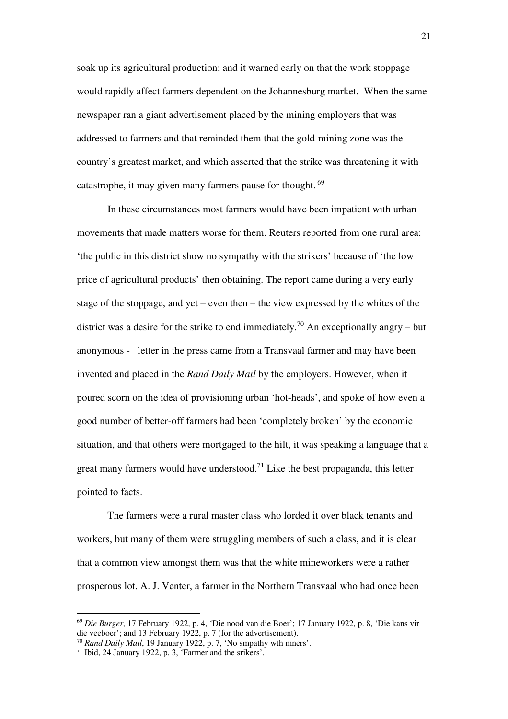soak up its agricultural production; and it warned early on that the work stoppage would rapidly affect farmers dependent on the Johannesburg market. When the same newspaper ran a giant advertisement placed by the mining employers that was addressed to farmers and that reminded them that the gold-mining zone was the country's greatest market, and which asserted that the strike was threatening it with catastrophe, it may given many farmers pause for thought.<sup>69</sup>

In these circumstances most farmers would have been impatient with urban movements that made matters worse for them. Reuters reported from one rural area: 'the public in this district show no sympathy with the strikers' because of 'the low price of agricultural products' then obtaining. The report came during a very early stage of the stoppage, and yet – even then – the view expressed by the whites of the district was a desire for the strike to end immediately.<sup>70</sup> An exceptionally angry – but anonymous - letter in the press came from a Transvaal farmer and may have been invented and placed in the *Rand Daily Mail* by the employers. However, when it poured scorn on the idea of provisioning urban 'hot-heads', and spoke of how even a good number of better-off farmers had been 'completely broken' by the economic situation, and that others were mortgaged to the hilt, it was speaking a language that a great many farmers would have understood.<sup>71</sup> Like the best propaganda, this letter pointed to facts.

 The farmers were a rural master class who lorded it over black tenants and workers, but many of them were struggling members of such a class, and it is clear that a common view amongst them was that the white mineworkers were a rather prosperous lot. A. J. Venter, a farmer in the Northern Transvaal who had once been

<sup>69</sup> *Die Burger*, 17 February 1922, p. 4, 'Die nood van die Boer'; 17 January 1922, p. 8, 'Die kans vir die veeboer'; and 13 February 1922, p. 7 (for the advertisement).

<sup>70</sup> *Rand Daily Mail*, 19 January 1922, p. 7, 'No smpathy wth mners'.

<sup>71</sup> Ibid, 24 January 1922, p. 3, 'Farmer and the srikers'.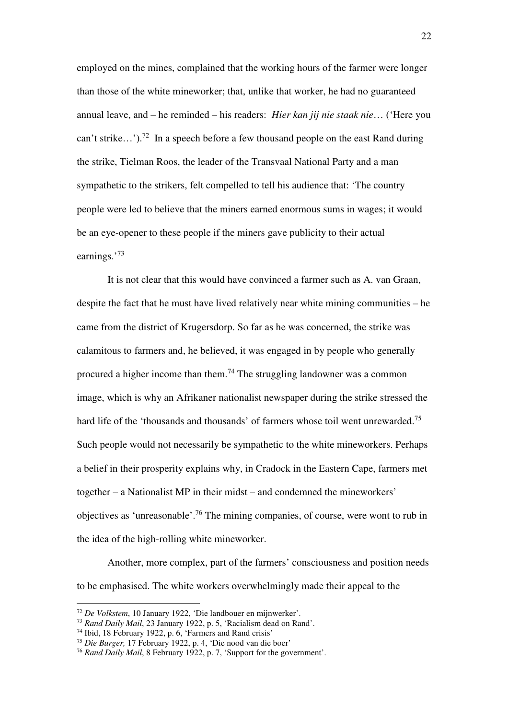employed on the mines, complained that the working hours of the farmer were longer than those of the white mineworker; that, unlike that worker, he had no guaranteed annual leave, and – he reminded – his readers: *Hier kan jij nie staak nie*… ('Here you can't strike…').<sup>72</sup> In a speech before a few thousand people on the east Rand during the strike, Tielman Roos, the leader of the Transvaal National Party and a man sympathetic to the strikers, felt compelled to tell his audience that: 'The country people were led to believe that the miners earned enormous sums in wages; it would be an eye-opener to these people if the miners gave publicity to their actual earnings.<sup>'73</sup>

It is not clear that this would have convinced a farmer such as A. van Graan, despite the fact that he must have lived relatively near white mining communities – he came from the district of Krugersdorp. So far as he was concerned, the strike was calamitous to farmers and, he believed, it was engaged in by people who generally procured a higher income than them.<sup>74</sup> The struggling landowner was a common image, which is why an Afrikaner nationalist newspaper during the strike stressed the hard life of the 'thousands' and thousands' of farmers whose toil went unrewarded.<sup>75</sup> Such people would not necessarily be sympathetic to the white mineworkers. Perhaps a belief in their prosperity explains why, in Cradock in the Eastern Cape, farmers met together – a Nationalist MP in their midst – and condemned the mineworkers' objectives as 'unreasonable'.<sup>76</sup> The mining companies, of course, were wont to rub in the idea of the high-rolling white mineworker.

Another, more complex, part of the farmers' consciousness and position needs to be emphasised. The white workers overwhelmingly made their appeal to the

<sup>73</sup> *Rand Daily Mail*, 23 January 1922, p. 5, 'Racialism dead on Rand'.

<sup>72</sup> *De Volkstem*, 10 January 1922, 'Die landbouer en mijnwerker'.

<sup>74</sup> Ibid, 18 February 1922, p. 6, 'Farmers and Rand crisis'

<sup>75</sup> *Die Burger,* 17 February 1922, p. 4, 'Die nood van die boer'

<sup>76</sup> *Rand Daily Mail*, 8 February 1922, p. 7, 'Support for the government'.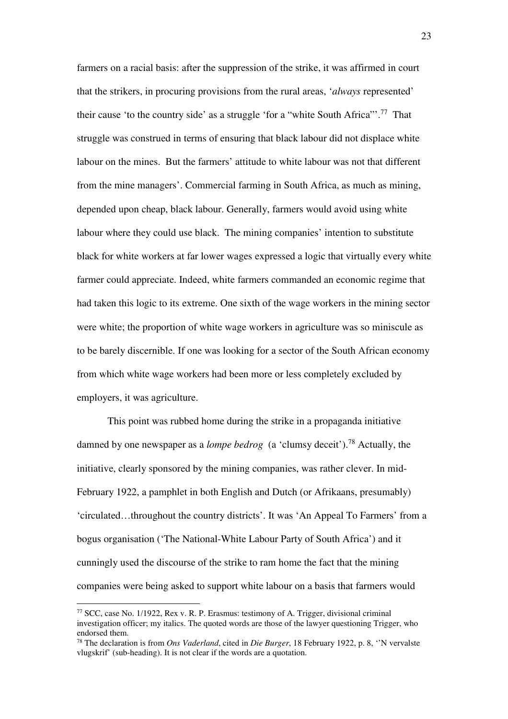farmers on a racial basis: after the suppression of the strike, it was affirmed in court that the strikers, in procuring provisions from the rural areas, '*always* represented' their cause 'to the country side' as a struggle 'for a "white South Africa"'.<sup>77</sup> That struggle was construed in terms of ensuring that black labour did not displace white labour on the mines. But the farmers' attitude to white labour was not that different from the mine managers'. Commercial farming in South Africa, as much as mining, depended upon cheap, black labour. Generally, farmers would avoid using white labour where they could use black. The mining companies' intention to substitute black for white workers at far lower wages expressed a logic that virtually every white farmer could appreciate. Indeed, white farmers commanded an economic regime that had taken this logic to its extreme. One sixth of the wage workers in the mining sector were white; the proportion of white wage workers in agriculture was so miniscule as to be barely discernible. If one was looking for a sector of the South African economy from which white wage workers had been more or less completely excluded by employers, it was agriculture.

This point was rubbed home during the strike in a propaganda initiative damned by one newspaper as a *lompe bedrog* (a 'clumsy deceit').<sup>78</sup> Actually, the initiative, clearly sponsored by the mining companies, was rather clever. In mid-February 1922, a pamphlet in both English and Dutch (or Afrikaans, presumably) 'circulated…throughout the country districts'. It was 'An Appeal To Farmers' from a bogus organisation ('The National-White Labour Party of South Africa') and it cunningly used the discourse of the strike to ram home the fact that the mining companies were being asked to support white labour on a basis that farmers would

<sup>77</sup> SCC, case No. 1/1922, Rex v. R. P. Erasmus: testimony of A. Trigger, divisional criminal investigation officer; my italics. The quoted words are those of the lawyer questioning Trigger, who endorsed them.

<sup>78</sup> The declaration is from *Ons Vaderland*, cited in *Die Burger*, 18 February 1922, p. 8, ''N vervalste vlugskrif' (sub-heading). It is not clear if the words are a quotation.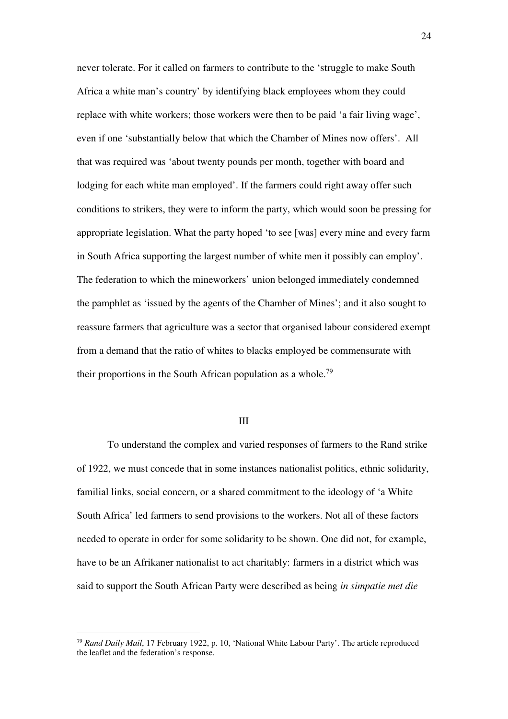never tolerate. For it called on farmers to contribute to the 'struggle to make South Africa a white man's country' by identifying black employees whom they could replace with white workers; those workers were then to be paid 'a fair living wage', even if one 'substantially below that which the Chamber of Mines now offers'. All that was required was 'about twenty pounds per month, together with board and lodging for each white man employed'. If the farmers could right away offer such conditions to strikers, they were to inform the party, which would soon be pressing for appropriate legislation. What the party hoped 'to see [was] every mine and every farm in South Africa supporting the largest number of white men it possibly can employ'. The federation to which the mineworkers' union belonged immediately condemned the pamphlet as 'issued by the agents of the Chamber of Mines'; and it also sought to reassure farmers that agriculture was a sector that organised labour considered exempt from a demand that the ratio of whites to blacks employed be commensurate with their proportions in the South African population as a whole.<sup>79</sup>

## III

To understand the complex and varied responses of farmers to the Rand strike of 1922, we must concede that in some instances nationalist politics, ethnic solidarity, familial links, social concern, or a shared commitment to the ideology of 'a White South Africa' led farmers to send provisions to the workers. Not all of these factors needed to operate in order for some solidarity to be shown. One did not, for example, have to be an Afrikaner nationalist to act charitably: farmers in a district which was said to support the South African Party were described as being *in simpatie met die* 

<sup>79</sup> *Rand Daily Mail*, 17 February 1922, p. 10, 'National White Labour Party'. The article reproduced the leaflet and the federation's response.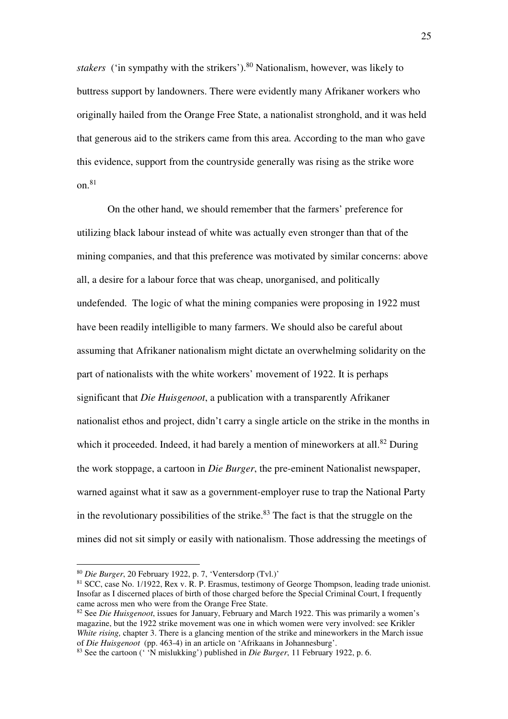*stakers* ('in sympathy with the strikers').<sup>80</sup> Nationalism, however, was likely to buttress support by landowners. There were evidently many Afrikaner workers who originally hailed from the Orange Free State, a nationalist stronghold, and it was held that generous aid to the strikers came from this area. According to the man who gave this evidence, support from the countryside generally was rising as the strike wore on.<sup>81</sup>

On the other hand, we should remember that the farmers' preference for utilizing black labour instead of white was actually even stronger than that of the mining companies, and that this preference was motivated by similar concerns: above all, a desire for a labour force that was cheap, unorganised, and politically undefended. The logic of what the mining companies were proposing in 1922 must have been readily intelligible to many farmers. We should also be careful about assuming that Afrikaner nationalism might dictate an overwhelming solidarity on the part of nationalists with the white workers' movement of 1922. It is perhaps significant that *Die Huisgenoot*, a publication with a transparently Afrikaner nationalist ethos and project, didn't carry a single article on the strike in the months in which it proceeded. Indeed, it had barely a mention of mineworkers at all. $82$  During the work stoppage, a cartoon in *Die Burger*, the pre-eminent Nationalist newspaper, warned against what it saw as a government-employer ruse to trap the National Party in the revolutionary possibilities of the strike.<sup>83</sup> The fact is that the struggle on the mines did not sit simply or easily with nationalism. Those addressing the meetings of

<sup>80</sup> *Die Burger*, 20 February 1922, p. 7, 'Ventersdorp (Tvl.)'

<sup>&</sup>lt;sup>81</sup> SCC, case No. 1/1922, Rex v. R. P. Erasmus, testimony of George Thompson, leading trade unionist. Insofar as I discerned places of birth of those charged before the Special Criminal Court, I frequently came across men who were from the Orange Free State.

<sup>82</sup> See *Die Huisgenoot*, issues for January, February and March 1922. This was primarily a women's magazine, but the 1922 strike movement was one in which women were very involved: see Krikler *White rising, chapter 3. There is a glancing mention of the strike and mineworkers in the March issue* of *Die Huisgenoot* (pp. 463-4) in an article on 'Afrikaans in Johannesburg'.

<sup>83</sup> See the cartoon (' 'N mislukking') published in *Die Burger*, 11 February 1922, p. 6.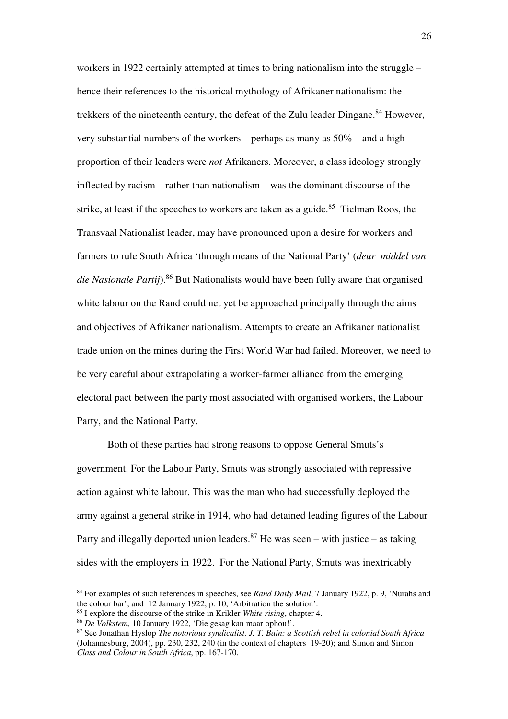workers in 1922 certainly attempted at times to bring nationalism into the struggle – hence their references to the historical mythology of Afrikaner nationalism: the trekkers of the nineteenth century, the defeat of the Zulu leader Dingane.<sup>84</sup> However, very substantial numbers of the workers – perhaps as many as 50% – and a high proportion of their leaders were *not* Afrikaners. Moreover, a class ideology strongly inflected by racism – rather than nationalism – was the dominant discourse of the strike, at least if the speeches to workers are taken as a guide.<sup>85</sup> Tielman Roos, the Transvaal Nationalist leader, may have pronounced upon a desire for workers and farmers to rule South Africa 'through means of the National Party' (*deur middel van die Nasionale Partij*).<sup>86</sup> But Nationalists would have been fully aware that organised white labour on the Rand could net yet be approached principally through the aims and objectives of Afrikaner nationalism. Attempts to create an Afrikaner nationalist trade union on the mines during the First World War had failed. Moreover, we need to be very careful about extrapolating a worker-farmer alliance from the emerging electoral pact between the party most associated with organised workers, the Labour Party, and the National Party.

Both of these parties had strong reasons to oppose General Smuts's government. For the Labour Party, Smuts was strongly associated with repressive action against white labour. This was the man who had successfully deployed the army against a general strike in 1914, who had detained leading figures of the Labour Party and illegally deported union leaders.<sup>87</sup> He was seen – with justice – as taking sides with the employers in 1922. For the National Party, Smuts was inextricably

<sup>84</sup> For examples of such references in speeches, see *Rand Daily Mail*, 7 January 1922, p. 9, 'Nurahs and the colour bar'; and 12 January 1922, p. 10, 'Arbitration the solution'.

<sup>85</sup> I explore the discourse of the strike in Krikler *White rising*, chapter 4.

<sup>86</sup> *De Volkstem*, 10 January 1922, 'Die gesag kan maar ophou!'.

<sup>87</sup> See Jonathan Hyslop *The notorious syndicalist. J. T. Bain: a Scottish rebel in colonial South Africa*  (Johannesburg, 2004), pp. 230, 232, 240 (in the context of chapters 19-20); and Simon and Simon *Class and Colour in South Africa*, pp. 167-170.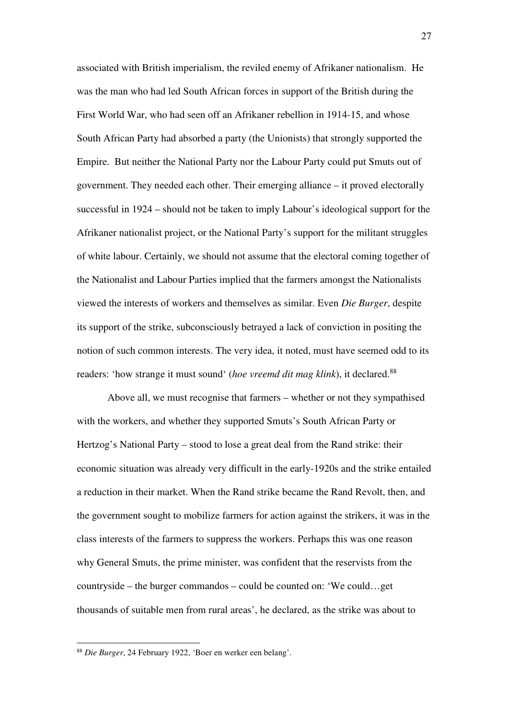associated with British imperialism, the reviled enemy of Afrikaner nationalism. He was the man who had led South African forces in support of the British during the First World War, who had seen off an Afrikaner rebellion in 1914-15, and whose South African Party had absorbed a party (the Unionists) that strongly supported the Empire. But neither the National Party nor the Labour Party could put Smuts out of government. They needed each other. Their emerging alliance – it proved electorally successful in 1924 – should not be taken to imply Labour's ideological support for the Afrikaner nationalist project, or the National Party's support for the militant struggles of white labour. Certainly, we should not assume that the electoral coming together of the Nationalist and Labour Parties implied that the farmers amongst the Nationalists viewed the interests of workers and themselves as similar. Even *Die Burger*, despite its support of the strike, subconsciously betrayed a lack of conviction in positing the notion of such common interests. The very idea, it noted, must have seemed odd to its readers: 'how strange it must sound' (*hoe vreemd dit mag klink*), it declared.<sup>88</sup>

Above all, we must recognise that farmers – whether or not they sympathised with the workers, and whether they supported Smuts's South African Party or Hertzog's National Party – stood to lose a great deal from the Rand strike: their economic situation was already very difficult in the early-1920s and the strike entailed a reduction in their market. When the Rand strike became the Rand Revolt, then, and the government sought to mobilize farmers for action against the strikers, it was in the class interests of the farmers to suppress the workers. Perhaps this was one reason why General Smuts, the prime minister, was confident that the reservists from the countryside – the burger commandos – could be counted on: 'We could…get thousands of suitable men from rural areas', he declared, as the strike was about to

<sup>88</sup> *Die Burger*, 24 February 1922, 'Boer en werker een belang'.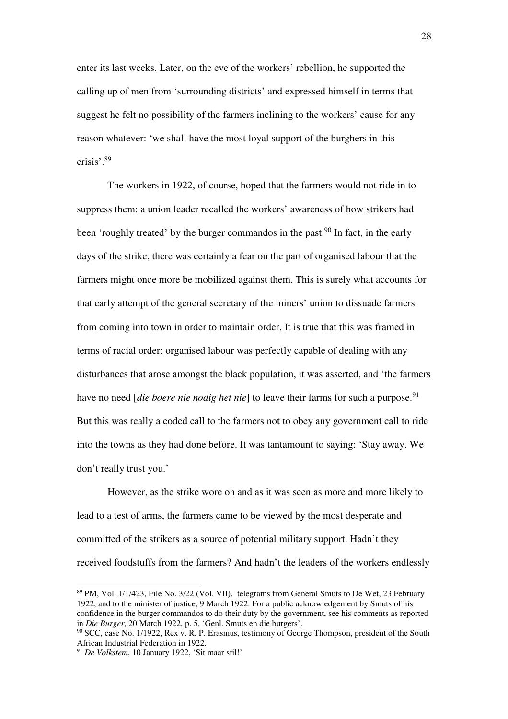enter its last weeks. Later, on the eve of the workers' rebellion, he supported the calling up of men from 'surrounding districts' and expressed himself in terms that suggest he felt no possibility of the farmers inclining to the workers' cause for any reason whatever: 'we shall have the most loyal support of the burghers in this crisis'.<sup>89</sup>

The workers in 1922, of course, hoped that the farmers would not ride in to suppress them: a union leader recalled the workers' awareness of how strikers had been 'roughly treated' by the burger commandos in the past.<sup>90</sup> In fact, in the early days of the strike, there was certainly a fear on the part of organised labour that the farmers might once more be mobilized against them. This is surely what accounts for that early attempt of the general secretary of the miners' union to dissuade farmers from coming into town in order to maintain order. It is true that this was framed in terms of racial order: organised labour was perfectly capable of dealing with any disturbances that arose amongst the black population, it was asserted, and 'the farmers have no need [*die boere nie nodig het nie*] to leave their farms for such a purpose.<sup>91</sup> But this was really a coded call to the farmers not to obey any government call to ride into the towns as they had done before. It was tantamount to saying: 'Stay away. We don't really trust you.'

However, as the strike wore on and as it was seen as more and more likely to lead to a test of arms, the farmers came to be viewed by the most desperate and committed of the strikers as a source of potential military support. Hadn't they received foodstuffs from the farmers? And hadn't the leaders of the workers endlessly

<sup>89</sup> PM, Vol. 1/1/423, File No. 3/22 (Vol. VII), telegrams from General Smuts to De Wet, 23 February 1922, and to the minister of justice, 9 March 1922. For a public acknowledgement by Smuts of his confidence in the burger commandos to do their duty by the government, see his comments as reported in *Die Burger*, 20 March 1922, p. 5, 'Genl. Smuts en die burgers'.

<sup>90</sup> SCC, case No. 1/1922, Rex v. R. P. Erasmus, testimony of George Thompson, president of the South African Industrial Federation in 1922.

<sup>91</sup> *De Volkstem*, 10 January 1922, 'Sit maar stil!'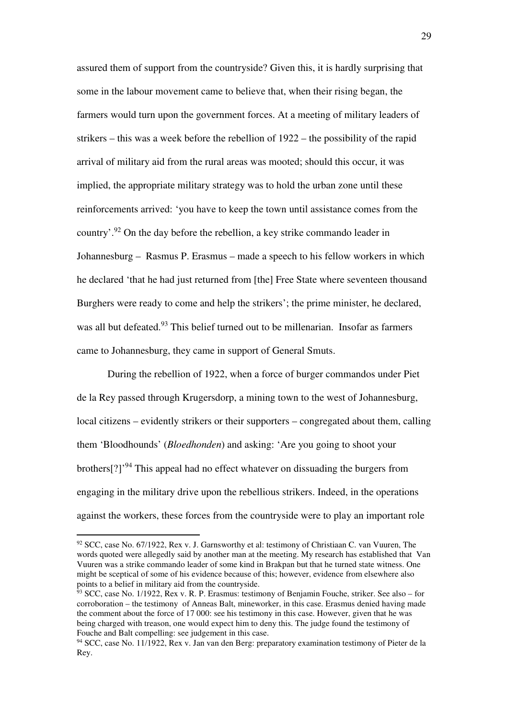assured them of support from the countryside? Given this, it is hardly surprising that some in the labour movement came to believe that, when their rising began, the farmers would turn upon the government forces. At a meeting of military leaders of strikers – this was a week before the rebellion of 1922 – the possibility of the rapid arrival of military aid from the rural areas was mooted; should this occur, it was implied, the appropriate military strategy was to hold the urban zone until these reinforcements arrived: 'you have to keep the town until assistance comes from the country'.<sup>92</sup> On the day before the rebellion, a key strike commando leader in Johannesburg – Rasmus P. Erasmus – made a speech to his fellow workers in which he declared 'that he had just returned from [the] Free State where seventeen thousand Burghers were ready to come and help the strikers'; the prime minister, he declared, was all but defeated.<sup>93</sup> This belief turned out to be millenarian. Insofar as farmers came to Johannesburg, they came in support of General Smuts.

During the rebellion of 1922, when a force of burger commandos under Piet de la Rey passed through Krugersdorp, a mining town to the west of Johannesburg, local citizens – evidently strikers or their supporters – congregated about them, calling them 'Bloodhounds' (*Bloedhonden*) and asking: 'Are you going to shoot your brothers[?]'<sup>94</sup> This appeal had no effect whatever on dissuading the burgers from engaging in the military drive upon the rebellious strikers. Indeed, in the operations against the workers, these forces from the countryside were to play an important role

<sup>&</sup>lt;sup>92</sup> SCC, case No. 67/1922, Rex v. J. Garnsworthy et al: testimony of Christiaan C. van Vuuren, The words quoted were allegedly said by another man at the meeting. My research has established that Van Vuuren was a strike commando leader of some kind in Brakpan but that he turned state witness. One might be sceptical of some of his evidence because of this; however, evidence from elsewhere also points to a belief in military aid from the countryside.

 $^{93}_{93}$  SCC, case No. 1/1922, Rex v. R. P. Erasmus: testimony of Benjamin Fouche, striker. See also – for corroboration – the testimony of Anneas Balt, mineworker, in this case. Erasmus denied having made the comment about the force of 17 000: see his testimony in this case. However, given that he was being charged with treason, one would expect him to deny this. The judge found the testimony of Fouche and Balt compelling: see judgement in this case.

<sup>94</sup> SCC, case No. 11/1922, Rex v. Jan van den Berg: preparatory examination testimony of Pieter de la Rey.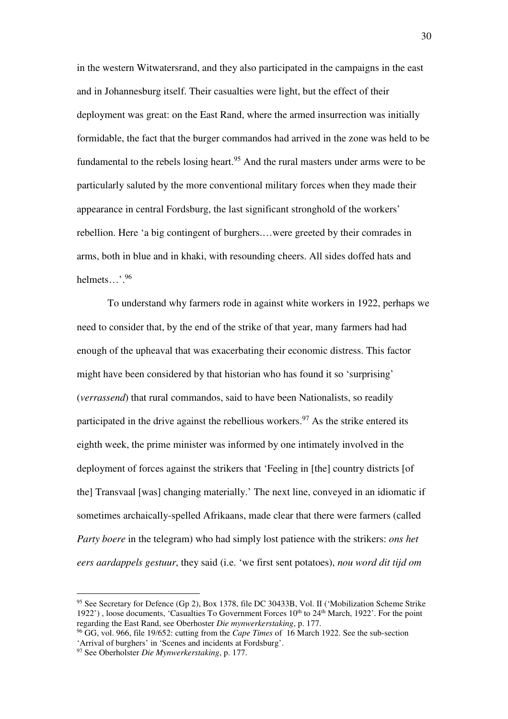in the western Witwatersrand, and they also participated in the campaigns in the east and in Johannesburg itself. Their casualties were light, but the effect of their deployment was great: on the East Rand, where the armed insurrection was initially formidable, the fact that the burger commandos had arrived in the zone was held to be fundamental to the rebels losing heart.<sup>95</sup> And the rural masters under arms were to be particularly saluted by the more conventional military forces when they made their appearance in central Fordsburg, the last significant stronghold of the workers' rebellion. Here 'a big contingent of burghers.…were greeted by their comrades in arms, both in blue and in khaki, with resounding cheers. All sides doffed hats and helmets…'.<sup>96</sup>

To understand why farmers rode in against white workers in 1922, perhaps we need to consider that, by the end of the strike of that year, many farmers had had enough of the upheaval that was exacerbating their economic distress. This factor might have been considered by that historian who has found it so 'surprising' (*verrassend*) that rural commandos, said to have been Nationalists, so readily participated in the drive against the rebellious workers.<sup>97</sup> As the strike entered its eighth week, the prime minister was informed by one intimately involved in the deployment of forces against the strikers that 'Feeling in [the] country districts [of the] Transvaal [was] changing materially.' The next line, conveyed in an idiomatic if sometimes archaically-spelled Afrikaans, made clear that there were farmers (called *Party boere* in the telegram) who had simply lost patience with the strikers: *ons het eers aardappels gestuur*, they said (i.e. 'we first sent potatoes), *nou word dit tijd om* 

<sup>95</sup> See Secretary for Defence (Gp 2), Box 1378, file DC 30433B, Vol. II ('Mobilization Scheme Strike 1922'), loose documents, 'Casualties To Government Forces  $10<sup>th</sup>$  to  $24<sup>th</sup>$  March, 1922'. For the point regarding the East Rand, see Oberhoster *Die mynwerkerstaking*, p. 177.

<sup>96</sup> GG, vol. 966, file 19/652: cutting from the *Cape Times* of 16 March 1922. See the sub-section 'Arrival of burghers' in 'Scenes and incidents at Fordsburg'.

<sup>97</sup> See Oberholster *Die Mynwerkerstaking*, p. 177.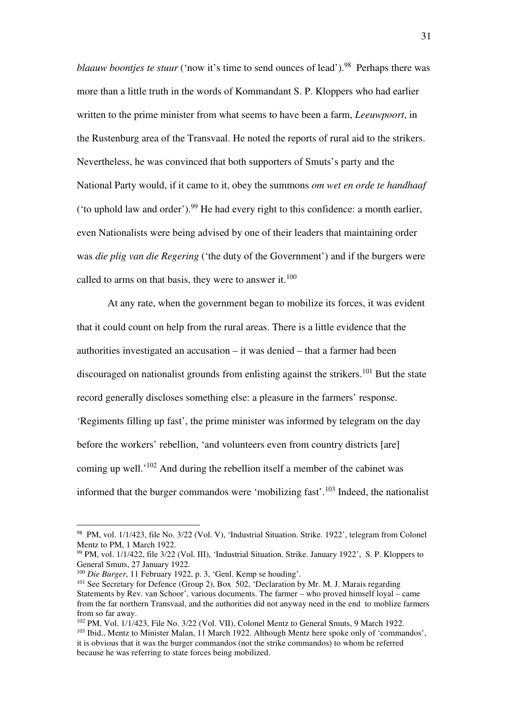*blaauw boontjes te stuur* ('now it's time to send ounces of lead').<sup>98</sup> Perhaps there was more than a little truth in the words of Kommandant S. P. Kloppers who had earlier written to the prime minister from what seems to have been a farm, *Leeuwpoort*, in the Rustenburg area of the Transvaal. He noted the reports of rural aid to the strikers. Nevertheless, he was convinced that both supporters of Smuts's party and the National Party would, if it came to it, obey the summons *om wet en orde te handhaaf* ('to uphold law and order').<sup>99</sup> He had every right to this confidence: a month earlier, even Nationalists were being advised by one of their leaders that maintaining order was *die plig van die Regering* ('the duty of the Government') and if the burgers were called to arms on that basis, they were to answer it. $100$ 

At any rate, when the government began to mobilize its forces, it was evident that it could count on help from the rural areas. There is a little evidence that the authorities investigated an accusation – it was denied – that a farmer had been discouraged on nationalist grounds from enlisting against the strikers.<sup>101</sup> But the state record generally discloses something else: a pleasure in the farmers' response. 'Regiments filling up fast', the prime minister was informed by telegram on the day before the workers' rebellion, 'and volunteers even from country districts [are] coming up well.'<sup>102</sup> And during the rebellion itself a member of the cabinet was informed that the burger commandos were 'mobilizing fast'.<sup>103</sup> Indeed, the nationalist

<sup>98</sup> PM, vol. 1/1/423, file No. 3/22 (Vol. V), 'Industrial Situation. Strike. 1922', telegram from Colonel Mentz to PM, 1 March 1922.

<sup>99</sup> PM, vol. 1/1/422, file 3/22 (Vol. III), 'Industrial Situation. Strike. January 1922', S. P. Kloppers to General Smuts, 27 January 1922.

<sup>100</sup> *Die Burger*, 11 February 1922, p. 3, 'Genl. Kemp se houding'.

<sup>&</sup>lt;sup>101</sup> See Secretary for Defence (Group 2), Box 502, 'Declaration by Mr. M. J. Marais regarding Statements by Rev. van Schoor', various documents. The farmer – who proved himself loyal – came from the far northern Transvaal, and the authorities did not anyway need in the end to moblize farmers from so far away.

<sup>102</sup> PM, Vol. 1/1/423, File No. 3/22 (Vol. VII), Colonel Mentz to General Smuts, 9 March 1922. <sup>103</sup> Ibid., Mentz to Minister Malan, 11 March 1922. Although Mentz here spoke only of 'commandos', it is obvious that it was the burger commandos (not the strike commandos) to whom he referred because he was referring to state forces being mobilized.